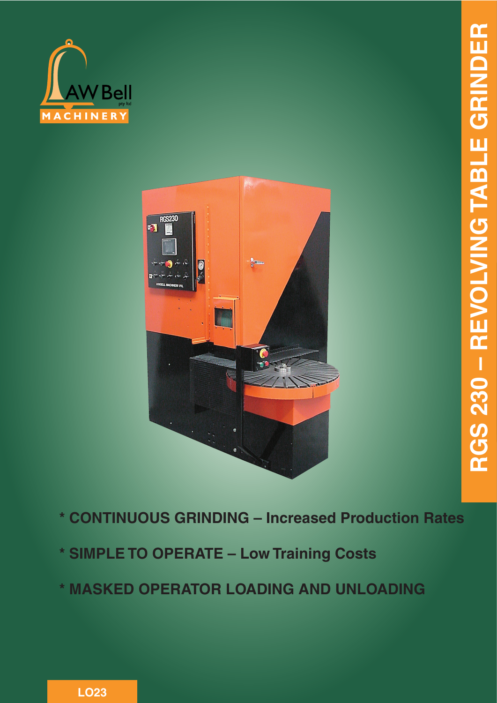



- **\* CONTINUOUS GRINDING Increased Production Rates**
- **\* SIMPLE TO OPERATE Low Training Costs**
- **\* MASKED OPERATOR LOADING AND UNLOADING**

**LO23**